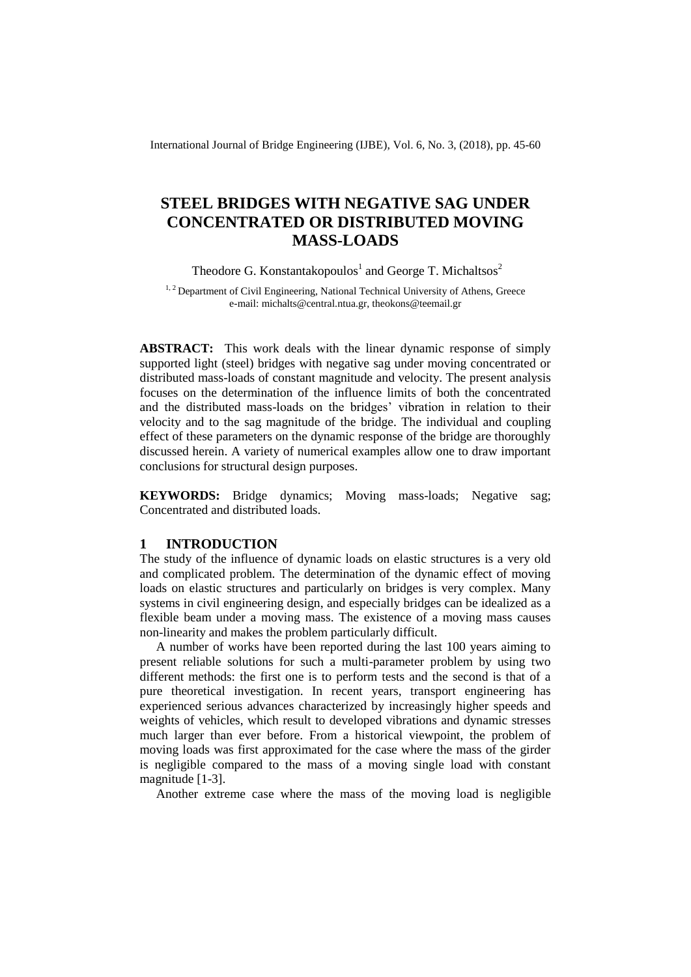International Journal of Bridge Engineering (IJBE), Vol. 6, No. 3, (2018), pp. 45-60

# **STEEL BRIDGES WITH NEGATIVE SAG UNDER CONCENTRATED OR DISTRIBUTED MOVING MASS-LOADS**

Theodore G. Konstantakopoulos<sup>1</sup> and George T. Michaltsos<sup>2</sup>

 $1, 2$  Department of Civil Engineering, National Technical University of Athens, Greece e-mail[: michalts@central.ntua.gr,](mailto:michalts@central.ntua.gr) theokons@teemail.gr

**ABSTRACT:** This work deals with the linear dynamic response of simply supported light (steel) bridges with negative sag under moving concentrated or distributed mass-loads of constant magnitude and velocity. The present analysis focuses on the determination of the influence limits of both the concentrated and the distributed mass-loads on the bridges' vibration in relation to their velocity and to the sag magnitude of the bridge. The individual and coupling effect of these parameters on the dynamic response of the bridge are thoroughly discussed herein. A variety of numerical examples allow one to draw important conclusions for structural design purposes.

**KEYWORDS:** Bridge dynamics: Moving mass-loads: Negative sag: Concentrated and distributed loads.

# **1 INTRODUCTION**

The study of the influence of dynamic loads on elastic structures is a very old and complicated problem. The determination of the dynamic effect of moving loads on elastic structures and particularly on bridges is very complex. Many systems in civil engineering design, and especially bridges can be idealized as a flexible beam under a moving mass. The existence of a moving mass causes non-linearity and makes the problem particularly difficult.

A number of works have been reported during the last 100 years aiming to present reliable solutions for such a multi-parameter problem by using two different methods: the first one is to perform tests and the second is that of a pure theoretical investigation. In recent years, transport engineering has experienced serious advances characterized by increasingly higher speeds and weights of vehicles, which result to developed vibrations and dynamic stresses much larger than ever before. From a historical viewpoint, the problem of moving loads was first approximated for the case where the mass of the girder is negligible compared to the mass of a moving single load with constant magnitude [1-3].

Another extreme case where the mass of the moving load is negligible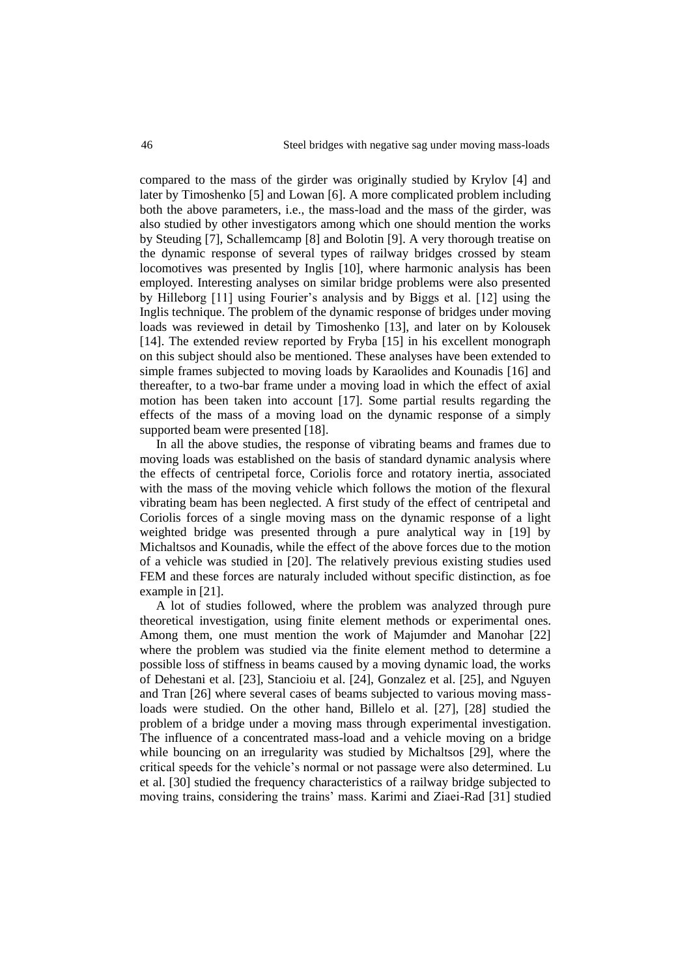compared to the mass of the girder was originally studied by Krylov [4] and later by Timoshenko [5] and Lowan [6]. A more complicated problem including both the above parameters, i.e., the mass-load and the mass of the girder, was also studied by other investigators among which one should mention the works by Steuding [7], Schallemcamp [8] and Bolotin [9]. A very thorough treatise on the dynamic response of several types of railway bridges crossed by steam locomotives was presented by Inglis [10], where harmonic analysis has been employed. Interesting analyses on similar bridge problems were also presented by Hilleborg [11] using Fourier's analysis and by Biggs et al. [12] using the Inglis technique. The problem of the dynamic response of bridges under moving loads was reviewed in detail by Timoshenko [13], and later on by Kolousek [14]. The extended review reported by Fryba [15] in his excellent monograph on this subject should also be mentioned. These analyses have been extended to simple frames subjected to moving loads by Karaolides and Kounadis [16] and thereafter, to a two-bar frame under a moving load in which the effect of axial motion has been taken into account [17]. Some partial results regarding the effects of the mass of a moving load on the dynamic response of a simply supported beam were presented [18].

In all the above studies, the response of vibrating beams and frames due to moving loads was established on the basis of standard dynamic analysis where the effects of centripetal force, Coriolis force and rotatory inertia, associated with the mass of the moving vehicle which follows the motion of the flexural vibrating beam has been neglected. A first study of the effect of centripetal and Coriolis forces of a single moving mass on the dynamic response of a light weighted bridge was presented through a pure analytical way in [19] by Michaltsos and Kounadis, while the effect of the above forces due to the motion of a vehicle was studied in [20]. The relatively previous existing studies used FEM and these forces are naturaly included without specific distinction, as foe example in [21].

A lot of studies followed, where the problem was analyzed through pure theoretical investigation, using finite element methods or experimental ones. Among them, one must mention the work of Majumder and Manohar [22] where the problem was studied via the finite element method to determine a possible loss of stiffness in beams caused by a moving dynamic load, the works of Dehestani et al. [23], Stancioiu et al. [24], Gonzalez et al. [25], and Nguyen and Tran [26] where several cases of beams subjected to various moving massloads were studied. On the other hand, Billelo et al. [27], [28] studied the problem of a bridge under a moving mass through experimental investigation. The influence of a concentrated mass-load and a vehicle moving on a bridge while bouncing on an irregularity was studied by Michaltsos [29], where the critical speeds for the vehicle's normal or not passage were also determined. Lu et al. [30] studied the frequency characteristics of a railway bridge subjected to moving trains, considering the trains' mass. Karimi and Ziaei-Rad [31] studied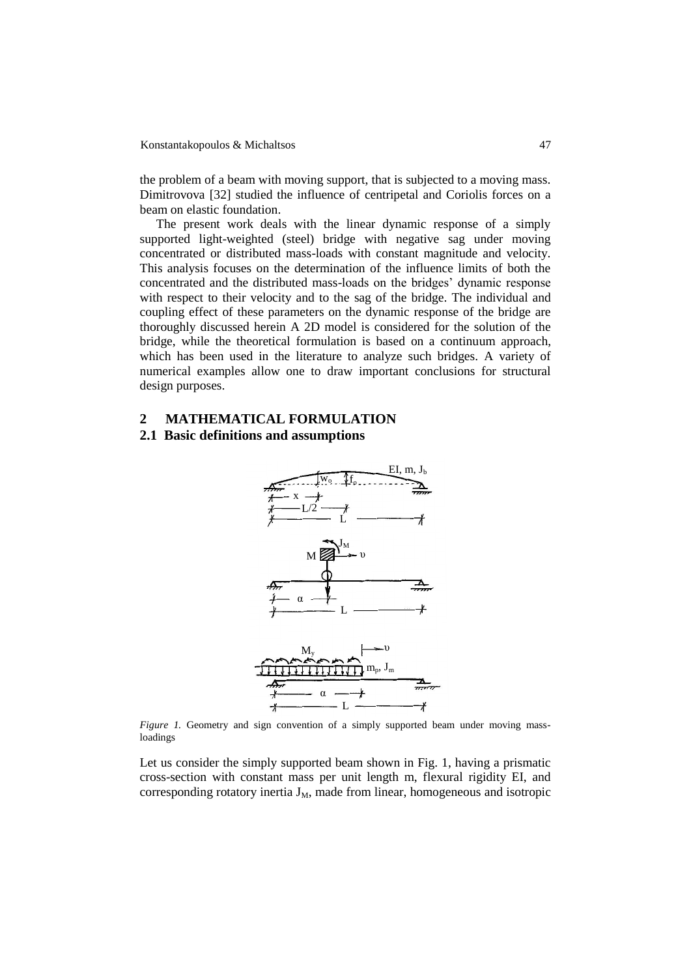the problem of a beam with moving support, that is subjected to a moving mass. Dimitrovova [32] studied the influence of centripetal and Coriolis forces on a beam on elastic foundation.

The present work deals with the linear dynamic response of a simply supported light-weighted (steel) bridge with negative sag under moving concentrated or distributed mass-loads with constant magnitude and velocity. This analysis focuses on the determination of the influence limits of both the concentrated and the distributed mass-loads on the bridges' dynamic response with respect to their velocity and to the sag of the bridge. The individual and coupling effect of these parameters on the dynamic response of the bridge are thoroughly discussed herein A 2D model is considered for the solution of the bridge, while the theoretical formulation is based on a continuum approach, which has been used in the literature to analyze such bridges. A variety of numerical examples allow one to draw important conclusions for structural design purposes.

## **2 MATHEMATICAL FORMULATION**

#### **2.1 Basic definitions and assumptions**



*Figure 1.* Geometry and sign convention of a simply supported beam under moving massloadings

Let us consider the simply supported beam shown in Fig. 1, having a prismatic cross-section with constant mass per unit length m, flexural rigidity EI, and corresponding rotatory inertia  $J_M$ , made from linear, homogeneous and isotropic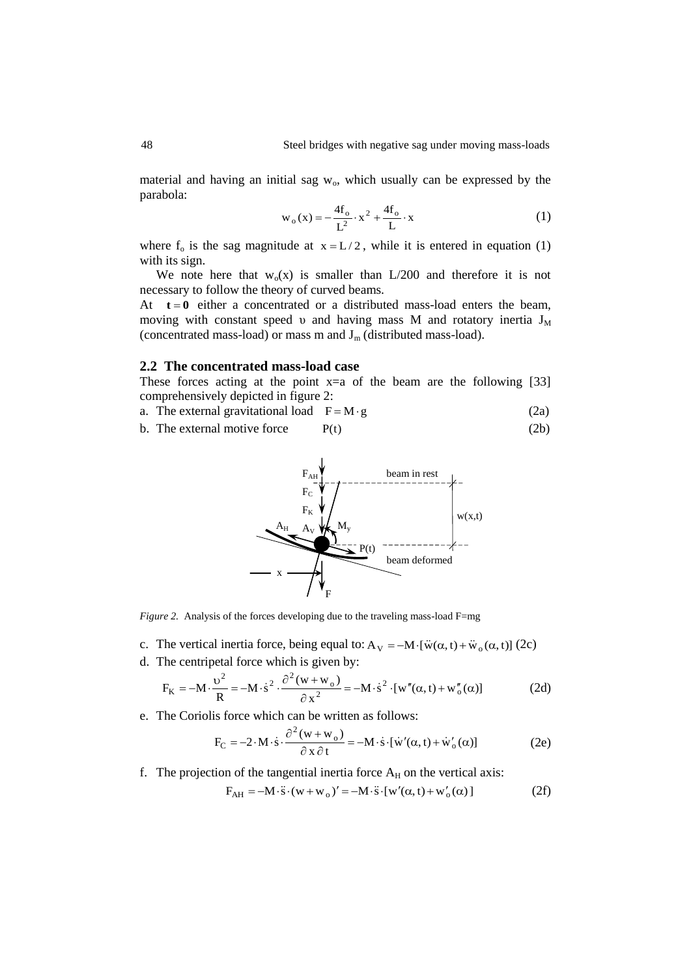material and having an initial sag  $w_0$ , which usually can be expressed by the parabola:

$$
w_o(x) = -\frac{4f_o}{L^2} \cdot x^2 + \frac{4f_o}{L} \cdot x \tag{1}
$$

where  $f_0$  is the sag magnitude at  $x = L/2$ , while it is entered in equation (1) with its sign.

We note here that  $w_0(x)$  is smaller than L/200 and therefore it is not necessary to follow the theory of curved beams.

At  $t = 0$  either a concentrated or a distributed mass-load enters the beam, moving with constant speed v and having mass M and rotatory inertia  $J_M$ (concentrated mass-load) or mass m and  $J_m$  (distributed mass-load).

### **2.2 The concentrated mass-load case**

These forces acting at the point  $x=a$  of the beam are the following [33] comprehensively depicted in figure 2:

- a. The external gravitational load  $F = M \cdot g$  (2a)
- b. The external motive force  $P(t)$  (2b)



*Figure 2.* Analysis of the forces developing due to the traveling mass-load F=mg

- c. The vertical inertia force, being equal to:  $A_V = -M \cdot [\dot{w}(\alpha, t) + \ddot{w}_o(\alpha, t)]$  (2c)
- d. The centripetal force which is given by:

$$
F_K = -M \cdot \frac{v^2}{R} = -M \cdot \dot{s}^2 \cdot \frac{\partial^2 (w + w_o)}{\partial x^2} = -M \cdot \dot{s}^2 \cdot [w''(\alpha, t) + w''_o(\alpha)] \tag{2d}
$$

e. The Coriolis force which can be written as follows:

$$
F_C = -2 \cdot M \cdot \dot{s} \cdot \frac{\partial^2 (w + w_o)}{\partial x \partial t} = -M \cdot \dot{s} \cdot [\dot{w}'(\alpha, t) + \dot{w}'_o(\alpha)] \tag{2e}
$$

f. The projection of the tangential inertia force  $A_H$  on the vertical axis:

$$
F_{AH} = -M \cdot \ddot{s} \cdot (w + w_o)' = -M \cdot \ddot{s} \cdot [w'(\alpha, t) + w'_o(\alpha)]
$$
 (2f)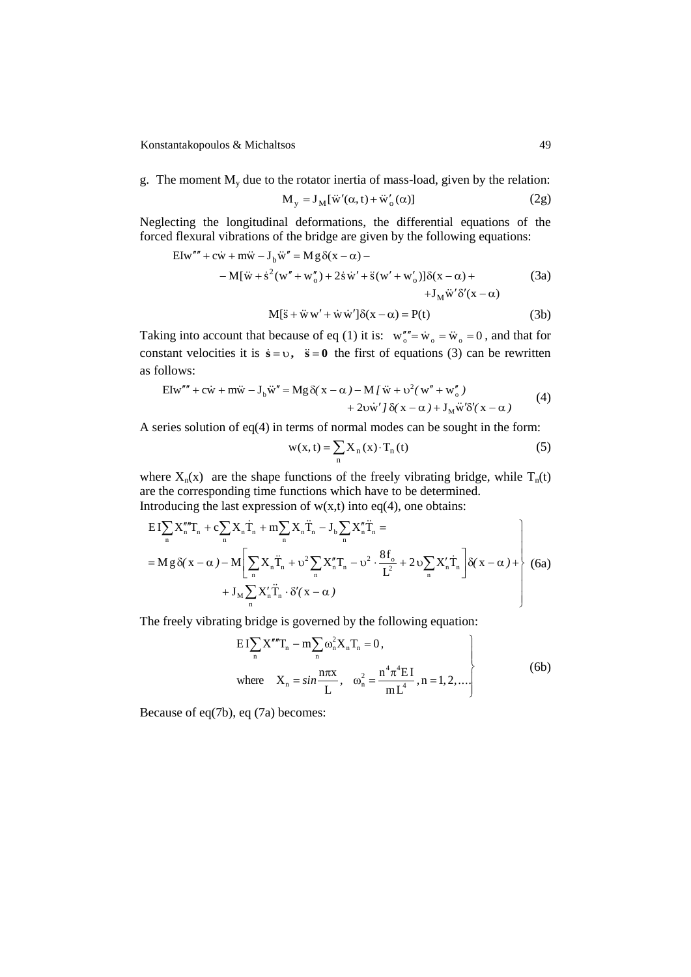Konstantakopoulos & Michaltsos 49

g. The moment  $M_{v}$  due to the rotator inertia of mass-load, given by the relation:

$$
M_y = J_M[\ddot{w}'(\alpha, t) + \ddot{w}'_o(\alpha)]
$$
 (2g)

Neglecting the longitudinal deformations, the differential equations of the forced flexural vibrations of the bridge are given by the following equations:

$$
EIw''' + c\dot{w} + m\ddot{w} - J_b\ddot{w}'' = Mg δ(x - α) -
$$
  
\n
$$
-M[\ddot{w} + \dot{s}^2(w'' + w''_o) + 2\dot{s}\dot{w}' + \ddot{s}(w' + w'_o)]δ(x - α) +
$$
  
\n
$$
+J_M\ddot{w}'δ'(x - α)
$$
\n(*3a*)  
\n
$$
M[\ddot{s} + \ddot{w}w' + \dot{w}\dot{w}']δ(x - α) = P(t)
$$
\n(*3b*)

$$
M[\ddot{s} + \ddot{w} w' + \dot{w} \dot{w}'] \delta(x - \alpha) = P(t)
$$
 (3b)

Taking into account that because of eq (1) it is:  $w''''_o = \dot{w}_o = \ddot{w}_o = 0$ , and that for constant velocities it is  $\dot{s} = v$ ,  $\ddot{s} = 0$  the first of equations (3) can be rewritten as follows:

$$
\text{Elw}''' + \text{c}\dot{\text{w}} + \text{m}\ddot{\text{w}} - \text{J}_b\ddot{\text{w}}'' = \text{Mg}\,\delta(\text{x} - \alpha) - \text{M}\,\text{l}\,\ddot{\text{w}} + \text{v}^2(\text{w}'' + \text{w}''_o) + 2\text{v}\dot{\text{w}}'\,\text{J}\,\delta(\text{x} - \alpha) + \text{J}_M\ddot{\text{w}}'\delta'(\text{x} - \alpha)
$$
(4)

A series solution of  $eq(4)$  in terms of normal modes can be sought in the form:

$$
w(x, t) = \sum_{n} X_n(x) \cdot T_n(t)
$$
 (5)

where  $X_n(x)$  are the shape functions of the freely vibrating bridge, while  $T_n(t)$ are the corresponding time functions which have to be determined. Introducing the last expression of  $w(x,t)$  into eq(4), one obtains:

$$
EI\sum_{n} X_{n}'''T_{n} + c\sum_{n} X_{n}\dot{T}_{n} + m\sum_{n} X_{n}\ddot{T}_{n} - J_{b}\sum_{n} X_{n}''' \ddot{T}_{n} =
$$
  
= Mg δ( x - α) - M  $\left[ \sum_{n} X_{n} \ddot{T}_{n} + \upsilon^{2} \sum_{n} X_{n}''' T_{n} - \upsilon^{2} \cdot \frac{8f_{o}}{L^{2}} + 2 \upsilon \sum_{n} X_{n}' \dot{T}_{n} \right] δ( x - α) ++ J_{M} \sum_{n} X_{n}' \ddot{T}_{n} \cdot \delta'( x - α) \qquad (6a)$ 

The freely vibrating bridge is governed by the following equation:

$$
EI\sum_{n} X'''T_{n} - m\sum_{n} \omega_{n}^{2} X_{n} T_{n} = 0,
$$
  
where  $X_{n} = \sin \frac{n\pi x}{L}, \quad \omega_{n}^{2} = \frac{n^{4} \pi^{4} EI}{m L^{4}}, n = 1, 2, ....$  (6b)

Because of eq(7b), eq (7a) becomes: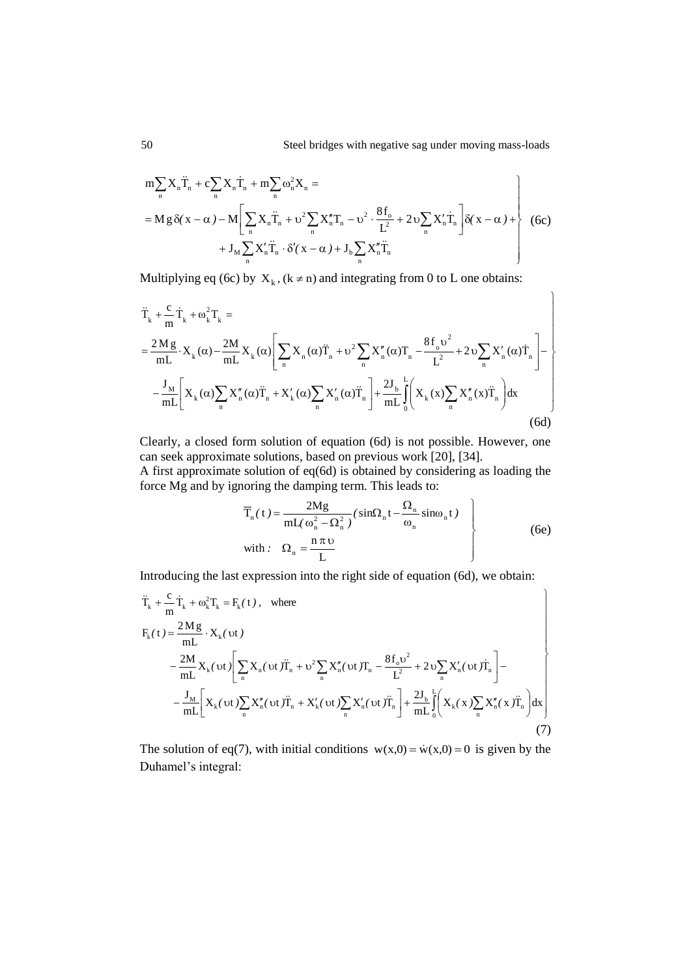$$
m\sum_{n} X_{n} \ddot{T}_{n} + c\sum_{n} X_{n} \dot{T}_{n} + m\sum_{n} \omega_{n}^{2} X_{n} =
$$
\n
$$
= M g \delta(x - \alpha) - M \left[ \sum_{n} X_{n} \ddot{T}_{n} + \upsilon^{2} \sum_{n} X_{n}'' T_{n} - \upsilon^{2} \cdot \frac{8f_{\circ}}{L^{2}} + 2 \upsilon \sum_{n} X_{n}' \dot{T}_{n} \right] \delta(x - \alpha) +
$$
\n
$$
+ J_{M} \sum_{n} X_{n}' \ddot{T}_{n} \cdot \delta'(x - \alpha) + J_{\upsilon} \sum_{n} X_{n}'' \ddot{T}_{n}
$$
\n(6c)

Multiplying eq (6c) by  $X_k$ , ( $k \ne n$ ) and integrating from 0 to L one obtains:

$$
\ddot{T}_{k} + \frac{c}{m} \dot{T}_{k} + \omega_{k}^{2} T_{k} =
$$
\n
$$
= \frac{2Mg}{mL} \cdot X_{k}(\alpha) - \frac{2M}{mL} X_{k}(\alpha) \left[ \sum_{n} X_{n}(\alpha) \ddot{T}_{n} + \upsilon^{2} \sum_{n} X_{n}''(\alpha) T_{n} - \frac{8f_{o} \upsilon^{2}}{L^{2}} + 2 \upsilon \sum_{n} X_{n}'(\alpha) \dot{T}_{n} \right] - \frac{J_{M}}{mL} \left[ X_{k}(\alpha) \sum_{n} X_{n}''(\alpha) \ddot{T}_{n} + X_{k}'(\alpha) \sum_{n} X_{n}'(\alpha) \ddot{T}_{n} \right] + \frac{2J_{b}}{mL} \int_{0}^{L} \left( X_{k}(\alpha) \sum_{n} X_{n}''(\alpha) \ddot{T}_{n} \right) dx
$$
\n(6d)

Clearly, a closed form solution of equation (6d) is not possible. However, one can seek approximate solutions, based on previous work [20], [34]. A first approximate solution of eq(6d) is obtained by considering as loading the force Mg and by ignoring the damping term. This leads to:

$$
\overline{T}_n(t) = \frac{2Mg}{mL(\omega_n^2 - \Omega_n^2)} (\sin\Omega_n t - \frac{\Omega_n}{\omega_n} \sin\omega_n t)
$$
\nwith:  $\Omega_n = \frac{n \pi \nu}{L}$  (6e)

Introducing the last expression into the right side of equation (6d), we obtain:

$$
\ddot{T}_{k} + \frac{c}{m} \dot{T}_{k} + \omega_{k}^{2} T_{k} = F_{k}(t), \text{ where}
$$
\n
$$
F_{k}(t) = \frac{2Mg}{mL} \cdot X_{k}(vt)
$$
\n
$$
- \frac{2M}{mL} X_{k}(vt) \left[ \sum_{n} X_{n}(vt) \ddot{T}_{n} + \upsilon^{2} \sum_{n} X_{n}''(vt) T_{n} - \frac{8f_{o} \upsilon^{2}}{L^{2}} + 2 \upsilon \sum_{n} X_{n}'(vt) \dot{T}_{n} \right] -
$$
\n
$$
- \frac{J_{M}}{mL} \left[ X_{k}(vt) \sum_{n} X_{n}''(vt) \ddot{T}_{n} + X_{k}'(vt) \sum_{n} X_{n}'(vt) \ddot{T}_{n} \right] + \frac{2J_{b}}{mL} \int_{0}^{L} \left( X_{k}(x) \sum_{n} X_{n}''(x) \ddot{T}_{n} \right) dx \right]
$$
\n(7)

The solution of eq(7), with initial conditions  $w(x,0) = \dot{w}(x,0) = 0$  is given by the Duhamel's integral: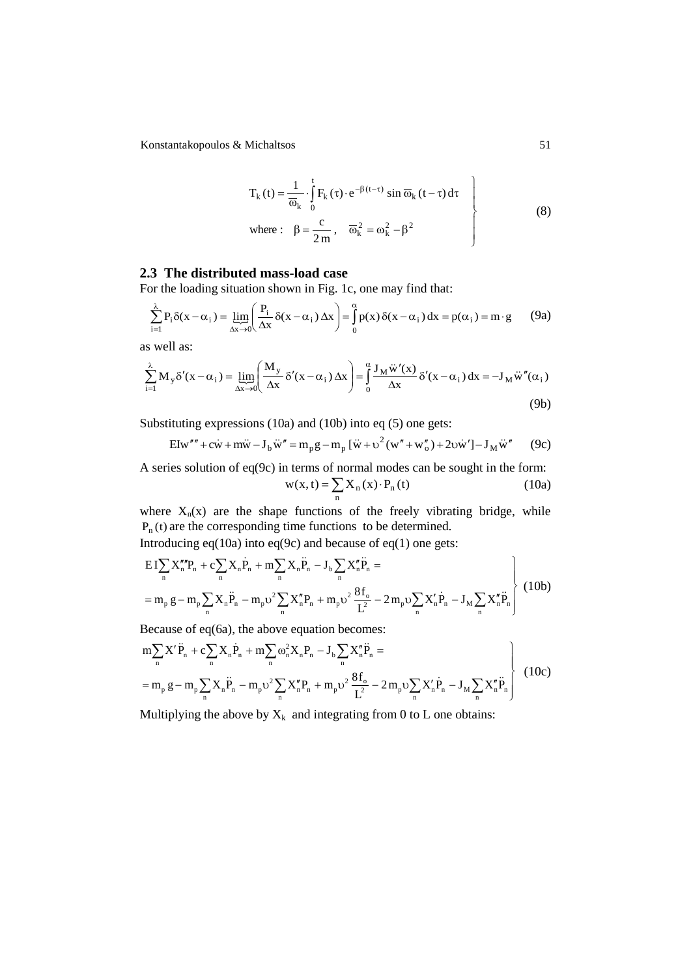Konstantakopoulos & Michaltsos 51

$$
T_{k}(t) = \frac{1}{\overline{\omega}_{k}} \cdot \int_{0}^{t} F_{k}(\tau) \cdot e^{-\beta(t-\tau)} \sin \overline{\omega}_{k}(t-\tau) d\tau
$$
  
where:  $\beta = \frac{c}{2m}$ ,  $\overline{\omega}_{k}^{2} = \omega_{k}^{2} - \beta^{2}$  (8)

# **2.3 The distributed mass-load case**

For the loading situation shown in Fig. 1c, one may find that:

$$
\sum_{i=1}^{\lambda} P_i \delta(x - \alpha_i) = \lim_{\Delta x \to 0} \left( \frac{P_i}{\Delta x} \delta(x - \alpha_i) \Delta x \right) = \int_{0}^{\alpha} p(x) \delta(x - \alpha_i) dx = p(\alpha_i) = m \cdot g \tag{9a}
$$

as well as:

$$
\sum_{i=1}^{\lambda} M_y \delta'(x - \alpha_i) = \lim_{\Delta x \to 0} \left( \frac{M_y}{\Delta x} \delta'(x - \alpha_i) \Delta x \right) = \int_0^{\alpha} \frac{J_M \ddot{w}'(x)}{\Delta x} \delta'(x - \alpha_i) dx = -J_M \ddot{w}''(\alpha_i)
$$
\n(9b)

Substituting expressions (10a) and (10b) into eq (5) one gets:

$$
Elw'''' + c\dot{w} + m\ddot{w} - J_b \ddot{w}'' = m_p g - m_p [\dot{w} + v^2 (w'' + w''_o) + 2v\dot{w}'] - J_M \ddot{w}''
$$
 (9c)

A series solution of eq(9c) in terms of normal modes can be sought in the form:  $=\sum_{n} X_{n}(x)$ .  $w(x, t) = \sum X_n(x) \cdot P_n(t)$  (10a)

where  $X_n(x)$  are the shape functions of the freely vibrating bridge, while  $P_n(t)$  are the corresponding time functions to be determined.

Introducing eq(10a) into eq(9c) and because of eq(1) one gets:

$$
EI\sum_{n} X_{n}'''P_{n} + c\sum_{n} X_{n}P_{n} + m\sum_{n} X_{n}P_{n} - J_{b}\sum_{n} X_{n}''P_{n} =
$$
  
=  $m_{p} g - m_{p} \sum_{n} X_{n}P_{n} - m_{p} \upsilon^{2} \sum_{n} X_{n}''P_{n} + m_{p} \upsilon^{2} \frac{8f_{o}}{L^{2}} - 2m_{p} \upsilon \sum_{n} X_{n}'P_{n} - J_{M}\sum_{n} X_{n}''P_{n}$  (10b)

Because of eq(6a), the above equation becomes:

$$
m\sum_{n} X' \ddot{P}_{n} + c\sum_{n} X_{n} \dot{P}_{n} + m\sum_{n} \omega_{n}^{2} X_{n} P_{n} - J_{b} \sum_{n} X''_{n} \ddot{P}_{n} =
$$
  
=  $m_{p} g - m_{p} \sum_{n} X_{n} \ddot{P}_{n} - m_{p} \upsilon^{2} \sum_{n} X''_{n} P_{n} + m_{p} \upsilon^{2} \frac{8f_{o}}{L^{2}} - 2 m_{p} \upsilon \sum_{n} X'_{n} \dot{P}_{n} - J_{M} \sum_{n} X''_{n} \ddot{P}_{n}$  (10c)

Multiplying the above by  $X_k$  and integrating from 0 to L one obtains: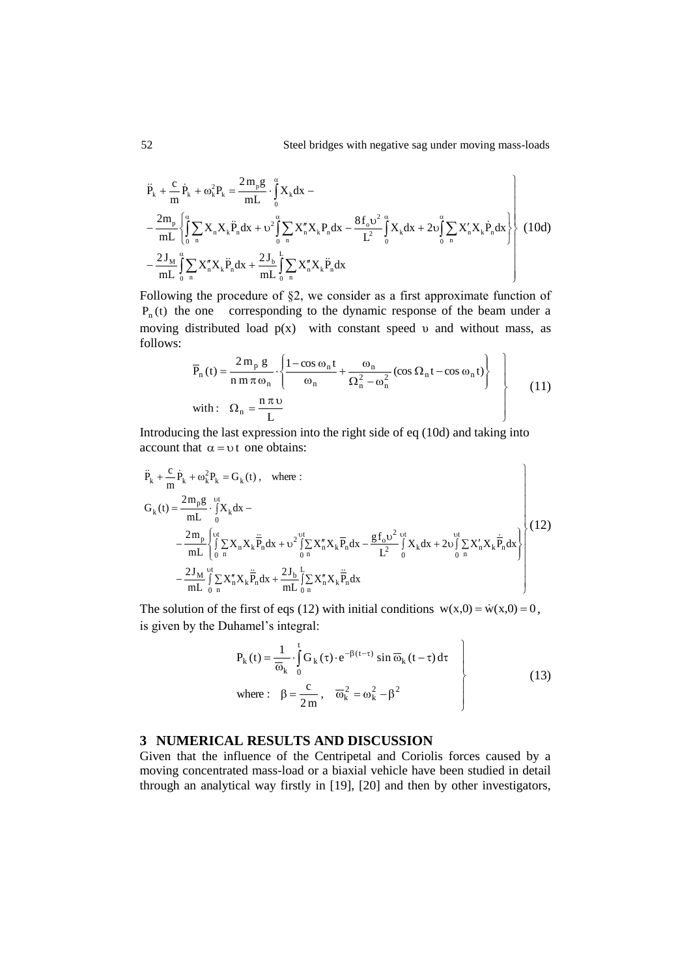$$
\ddot{P}_{k} + \frac{c}{m} \dot{P}_{k} + \omega_{k}^{2} P_{k} = \frac{2m_{p}g}{mL} \cdot \int_{0}^{a} X_{k} dx -
$$
\n
$$
- \frac{2m_{p}}{mL} \left\{ \int_{0}^{a} \sum_{n} X_{n} X_{k} \ddot{P}_{n} dx + \upsilon^{2} \int_{0}^{a} \sum_{n} X_{n}^{n} X_{k} P_{n} dx - \frac{8f_{o} \upsilon^{2}}{L^{2}} \int_{0}^{a} X_{k} dx + 2\upsilon \int_{0}^{a} \sum_{n} X_{n}^{n} X_{k} \dot{P}_{n} dx \right\}
$$
\n
$$
- \frac{2J_{M}}{mL} \int_{0}^{a} \sum_{n} X_{n}^{n} X_{k} \ddot{P}_{n} dx + \frac{2J_{b}}{mL} \int_{0}^{L} \sum_{n} X_{n}^{n} X_{k} \ddot{P}_{n} dx
$$
\n(10d)

Following the procedure of §2, we consider as a first approximate function of  $P_n(t)$  the one corresponding to the dynamic response of the beam under a moving distributed load  $p(x)$  with constant speed v and without mass, as follows:

$$
\overline{P}_n(t) = \frac{2 m_p g}{n m \pi \omega_n} \cdot \left\{ \frac{1 - \cos \omega_n t}{\omega_n} + \frac{\omega_n}{\Omega_n^2 - \omega_n^2} (\cos \Omega_n t - \cos \omega_n t) \right\}
$$
\nwith:  $\Omega_n = \frac{n \pi \upsilon}{L}$  (11)

Introducing the last expression into the right side of eq (10d) and taking into account that  $\alpha = v$  t one obtains:

$$
\ddot{P}_{k} + \frac{c}{m} \dot{P}_{k} + \omega_{k}^{2} P_{k} = G_{k}(t), \text{ where :}
$$
\n
$$
G_{k}(t) = \frac{2m_{p}g}{mL} \cdot \int_{0}^{vt} X_{k} dx - \frac{2m_{p}}{mL} \left\{ \int_{0}^{vt} \sum_{n} X_{n} X_{k} \frac{\ddot{P}_{n} dx}{P_{n}} dx + \upsilon^{2} \int_{0}^{vt} \sum_{n} X_{n}^{n} X_{k} \overline{P}_{n} dx - \frac{g f_{o} \upsilon^{2}}{L^{2}} \int_{0}^{vt} X_{k} dx + 2 \upsilon \int_{0}^{vt} \sum_{n} X_{n}^{n} X_{k} \frac{\dot{P}_{n} dx}{P_{n}} dx - \frac{2J_{M}}{mL} \int_{0}^{vt} \sum_{n} X_{n}^{n} X_{k} \frac{\dddot{P}_{n} dx}{P_{n}} dx + \frac{2J_{b}}{mL} \int_{0}^{L} \sum_{n} X_{n}^{n} X_{k} \frac{\dddot{P}_{n} dx}{P_{n}} dx
$$
\n(12)

The solution of the first of eqs (12) with initial conditions  $w(x,0) = \dot{w}(x,0) = 0$ , is given by the Duhamel's integral:

$$
P_{k}(t) = \frac{1}{\overline{\omega}_{k}} \cdot \int_{0}^{t} G_{k}(\tau) \cdot e^{-\beta(t-\tau)} \sin \overline{\omega}_{k}(t-\tau) d\tau
$$
  
where:  $\beta = \frac{c}{2m}$ ,  $\overline{\omega}_{k}^{2} = \omega_{k}^{2} - \beta^{2}$  (13)

# **3 NUMERICAL RESULTS AND DISCUSSION**

Given that the influence of the Centripetal and Coriolis forces caused by a moving concentrated mass-load or a biaxial vehicle have been studied in detail through an analytical way firstly in [19], [20] and then by other investigators,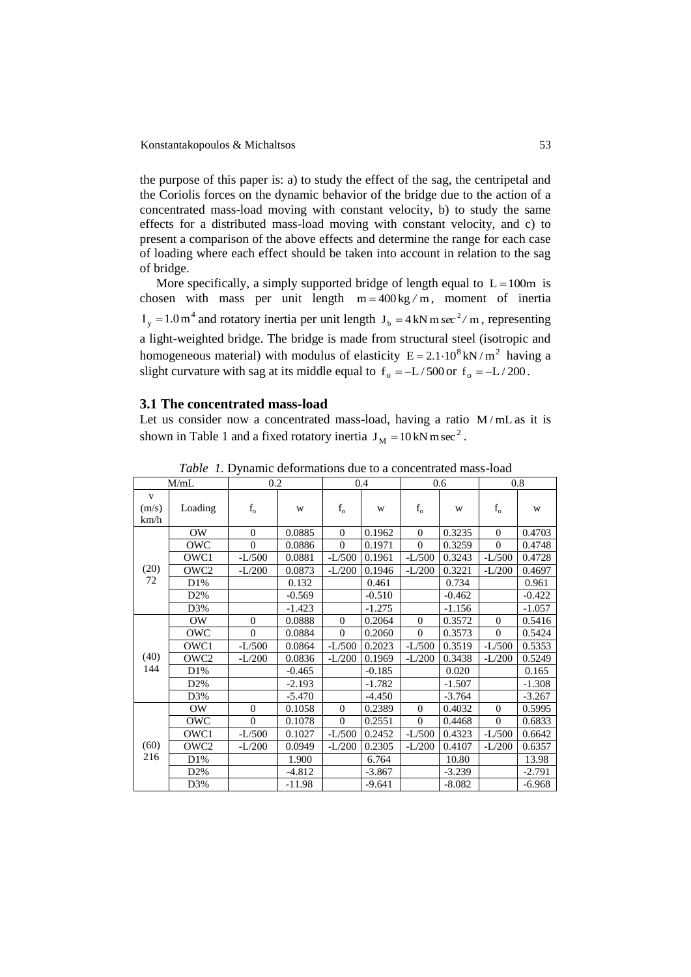the purpose of this paper is: a) to study the effect of the sag, the centripetal and the Coriolis forces on the dynamic behavior of the bridge due to the action of a concentrated mass-load moving with constant velocity, b) to study the same effects for a distributed mass-load moving with constant velocity, and c) to present a comparison of the above effects and determine the range for each case of loading where each effect should be taken into account in relation to the sag of bridge.

More specifically, a simply supported bridge of length equal to  $L = 100m$  is chosen with mass per unit length  $m = 400 \text{ kg/m}$ , moment of inertia  $I_y = 1.0 \text{ m}^4$  and rotatory inertia per unit length  $J_b = 4 \text{ kN m} \text{ sec}^2 / \text{m}$ , representing a light-weighted bridge. The bridge is made from structural steel (isotropic and homogeneous material) with modulus of elasticity  $E = 2.1 \cdot 10^8$  kN/m<sup>2</sup> having a slight curvature with sag at its middle equal to  $f_0 = -L/500$  or  $f_0 = -L/200$ .

## **3.1 The concentrated mass-load**

Let us consider now a concentrated mass-load, having a ratio  $M/mL$  as it is shown in Table 1 and a fixed rotatory inertia  $J_M = 10 \text{ kN m sec}^2$ .

| M/mL               |                  | 0.2         |          | 0.4         |          | 0.6      |          | 0.8      |          |
|--------------------|------------------|-------------|----------|-------------|----------|----------|----------|----------|----------|
| V<br>(m/s)<br>km/h | Loading          | $\rm f_{o}$ | W        | $\rm f_{o}$ | W        | $f_{o}$  | W        | $f_{o}$  | W        |
| (20)<br>72         | OW.              | $\Omega$    | 0.0885   | $\Omega$    | 0.1962   | $\Omega$ | 0.3235   | $\Omega$ | 0.4703   |
|                    | OWC              | $\Omega$    | 0.0886   | $\Omega$    | 0.1971   | $\theta$ | 0.3259   | $\theta$ | 0.4748   |
|                    | OWC1             | $-L/500$    | 0.0881   | $-L/500$    | 0.1961   | $-L/500$ | 0.3243   | $-L/500$ | 0.4728   |
|                    | OWC2             | $-L/200$    | 0.0873   | $-L/200$    | 0.1946   | $-L/200$ | 0.3221   | $-L/200$ | 0.4697   |
|                    | D1%              |             | 0.132    |             | 0.461    |          | 0.734    |          | 0.961    |
|                    | D <sub>2</sub> % |             | $-0.569$ |             | $-0.510$ |          | $-0.462$ |          | $-0.422$ |
|                    | D3%              |             | $-1.423$ |             | $-1.275$ |          | $-1.156$ |          | $-1.057$ |
| (40)<br>144        | OW.              | $\Omega$    | 0.0888   | $\Omega$    | 0.2064   | $\Omega$ | 0.3572   | $\theta$ | 0.5416   |
|                    | OWC              | $\Omega$    | 0.0884   | $\Omega$    | 0.2060   | $\Omega$ | 0.3573   | $\Omega$ | 0.5424   |
|                    | OWC1             | $-L/500$    | 0.0864   | $-L/500$    | 0.2023   | $-L/500$ | 0.3519   | $-L/500$ | 0.5353   |
|                    | OWC2             | $-L/200$    | 0.0836   | $-L/200$    | 0.1969   | $-L/200$ | 0.3438   | $-L/200$ | 0.5249   |
|                    | D1%              |             | $-0.465$ |             | $-0.185$ |          | 0.020    |          | 0.165    |
|                    | D2%              |             | $-2.193$ |             | $-1.782$ |          | $-1.507$ |          | $-1.308$ |
|                    | D3%              |             | $-5.470$ |             | $-4.450$ |          | $-3.764$ |          | $-3.267$ |
| (60)<br>216        | OW.              | $\theta$    | 0.1058   | $\Omega$    | 0.2389   | $\Omega$ | 0.4032   | $\theta$ | 0.5995   |
|                    | OWC              | $\theta$    | 0.1078   | $\Omega$    | 0.2551   | $\Omega$ | 0.4468   | $\theta$ | 0.6833   |
|                    | OWC1             | $-L/500$    | 0.1027   | $-L/500$    | 0.2452   | $-L/500$ | 0.4323   | $-L/500$ | 0.6642   |
|                    | OWC2             | $-L/200$    | 0.0949   | $-L/200$    | 0.2305   | $-L/200$ | 0.4107   | $-L/200$ | 0.6357   |
|                    | D1%              |             | 1.900    |             | 6.764    |          | 10.80    |          | 13.98    |
|                    | D <sub>2</sub> % |             | $-4.812$ |             | $-3.867$ |          | $-3.239$ |          | -2.791   |
|                    | D3%              |             | $-11.98$ |             | $-9.641$ |          | $-8.082$ |          | $-6.968$ |

*Table 1.* Dynamic deformations due to a concentrated mass-load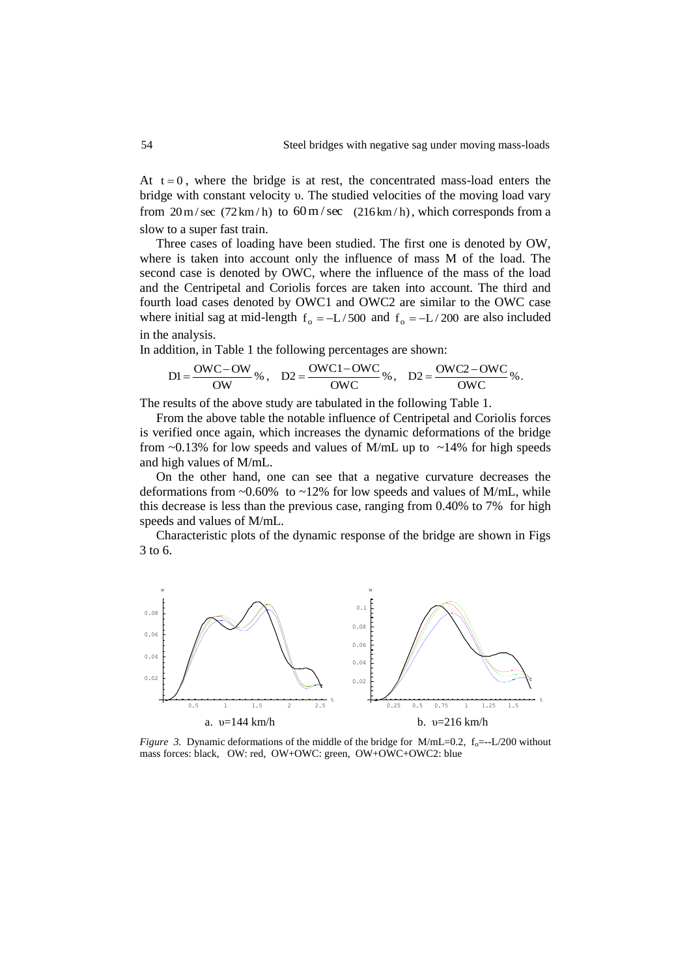At  $t = 0$ , where the bridge is at rest, the concentrated mass-load enters the bridge with constant velocity υ. The studied velocities of the moving load vary from  $20 \text{ m/sec}$  (72 km/h) to  $60 \text{ m/sec}$  (216 km/h), which corresponds from a slow to a super fast train.

Three cases of loading have been studied. The first one is denoted by OW, where is taken into account only the influence of mass M of the load. The second case is denoted by OWC, where the influence of the mass of the load and the Centripetal and Coriolis forces are taken into account. The third and fourth load cases denoted by OWC1 and OWC2 are similar to the OWC case where initial sag at mid-length  $f_0 = -L/500$  and  $f_0 = -L/200$  are also included in the analysis.

In addition, in Table 1 the following percentages are shown:

$$
DI = \frac{OWC - OW}{OW} \%
$$
, 
$$
D2 = \frac{OWC1 - OWC}{OWC} \%
$$
, 
$$
D2 = \frac{OWC2 - OWC}{OWC} \%
$$
.

The results of the above study are tabulated in the following Table 1.

From the above table the notable influence of Centripetal and Coriolis forces is verified once again, which increases the dynamic deformations of the bridge from  $\sim$ 0.13% for low speeds and values of M/mL up to  $\sim$ 14% for high speeds and high values of M/mL.

On the other hand, one can see that a negative curvature decreases the deformations from  $\sim 0.60\%$  to  $\sim 12\%$  for low speeds and values of M/mL, while this decrease is less than the previous case, ranging from 0.40% to 7% for high speeds and values of M/mL.

Characteristic plots of the dynamic response of the bridge are shown in Figs 3 to 6.



*Figure 3.* Dynamic deformations of the middle of the bridge for M/mL=0.2,  $f_0$ =--L/200 without mass forces: black, OW: red, OW+OWC: green, OW+OWC+OWC2: blue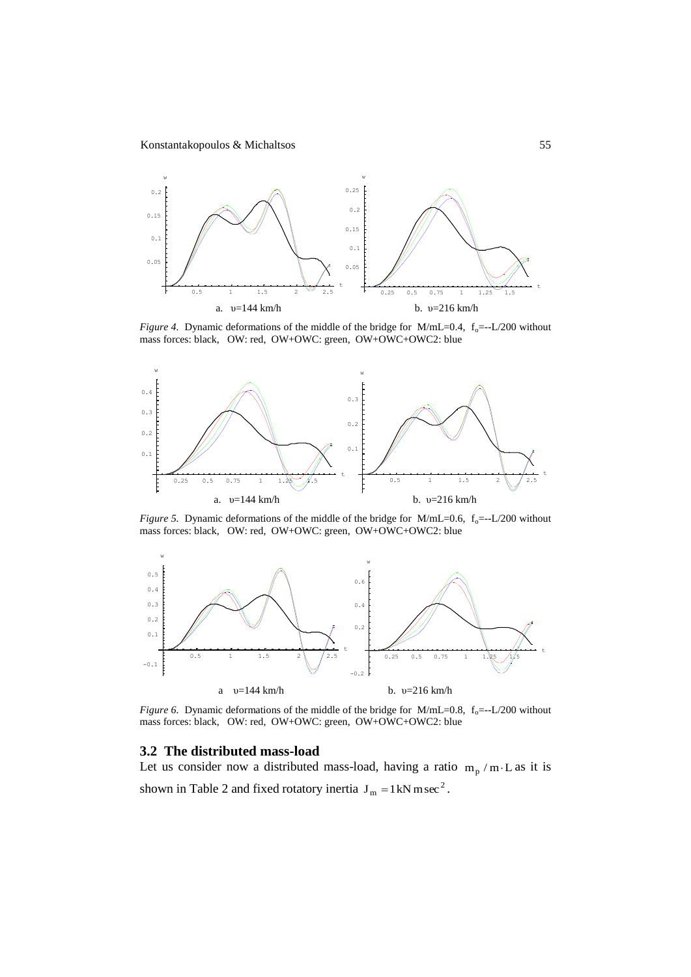

*Figure 4.* Dynamic deformations of the middle of the bridge for M/mL=0.4,  $f_0$ =--L/200 without mass forces: black, OW: red, OW+OWC: green, OW+OWC+OWC2: blue



*Figure 5.* Dynamic deformations of the middle of the bridge for  $M/mL=0.6$ ,  $f_0=-L/200$  without mass forces: black, OW: red, OW+OWC: green, OW+OWC+OWC2: blue



*Figure 6.* Dynamic deformations of the middle of the bridge for  $M/mL=0.8$ ,  $f_0 = -L/200$  without mass forces: black, OW: red, OW+OWC: green, OW+OWC+OWC2: blue

#### **3.2 The distributed mass-load**

Let us consider now a distributed mass-load, having a ratio  $m_p / m \cdot L$  as it is shown in Table 2 and fixed rotatory inertia  $J_m = 1 \text{kN m sec}^2$ .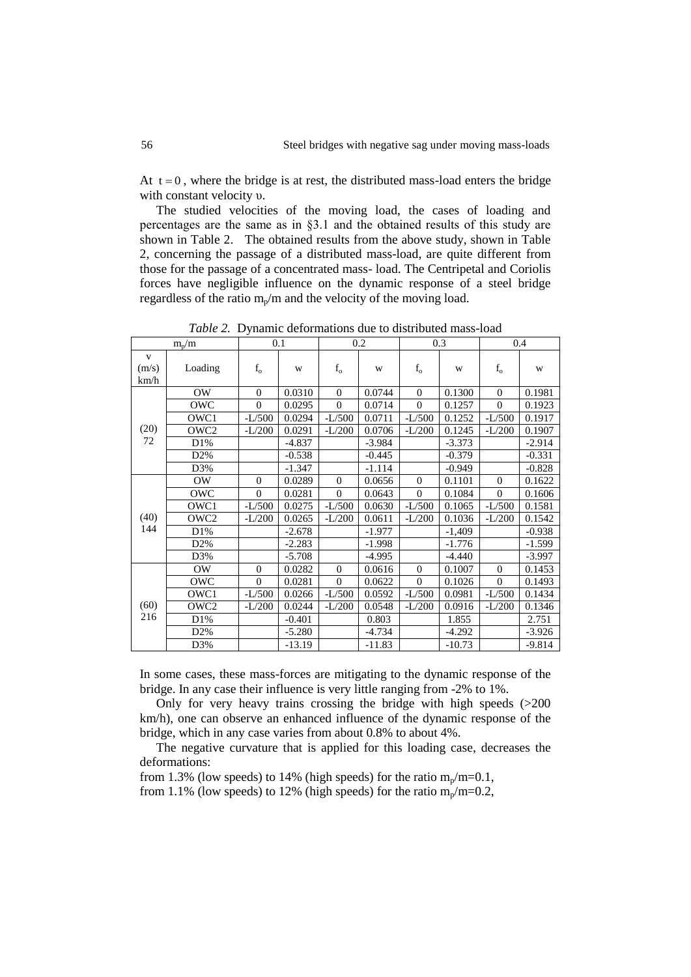At  $t = 0$ , where the bridge is at rest, the distributed mass-load enters the bridge with constant velocity υ.

The studied velocities of the moving load, the cases of loading and percentages are the same as in §3.1 and the obtained results of this study are shown in Table 2. The obtained results from the above study, shown in Table 2, concerning the passage of a distributed mass-load, are quite different from those for the passage of a concentrated mass- load. The Centripetal and Coriolis forces have negligible influence on the dynamic response of a steel bridge regardless of the ratio  $m_{n}/m$  and the velocity of the moving load.

 $m_p/m$  $/m$  0.1 0.2 0.3 0.4 v  $(m/s)$ km/h Loading  $f_o$  w f<sub>o</sub> w f<sub>o</sub> w fo w f<sub>o</sub> w (20) 72 OW | 0 0.0310 | 0 0.0744 | 0 0.1300 | 0 0.1981 OWC | 0 0.0295 | 0 0.0714 | 0 0.1257 | 0 0.1923 OWC1 | -L/500 | 0.0294 | -L/500 | 0.0711 | -L/500 | 0.1252 | -L/500 | 0.1917 OWC2 | -L/200 | 0.0291 | -L/200 | 0.0706 | -L/200 | 0.1245 | -L/200 | 0.1907 D1% | -4.837 | -3.984 | -3.373 | -2.914 D2%  $\vert$  -0.538  $\vert$  -0.445  $\vert$  -0.379  $\vert$  -0.331 D3% | |-1.347 | |-1.114 | |-0.949 | |-0.828 (40) 144 0 0.0289 0 0.0656 0 0.1101 0 0.1622 OWC | 0 0.0281 | 0 0.0643 | 0 0.1084 | 0 0.1606 OWC1 | -L/500 | 0.0275 | -L/500 | 0.0630 | -L/500 | 0.1065 | -L/500 | 0.1581 OWC2 | -L/200 | 0.0265 | -L/200 | 0.0611 | -L/200 | 0.1036 | -L/200 | 0.1542 D1% | -2.678 | -1.977 | -1,409 | -0.938 D2% | |-2.283 | |-1.998 | |-1.776 | |-1.599 D3% | |-5.708 | |-4.995 | |-4.440 | |-3.997 (60) 216 OW | 0 0.0282 | 0 0.0616 | 0 0.1007 | 0 0.1453 OWC | 0 0.0281 | 0 0.0622 | 0 0.1026 | 0 0.1493 OWC1 | -L/500 | 0.0266 | -L/500 | 0.0592 | -L/500 | 0.0981 | -L/500 | 0.1434 OWC2 | -L/200 | 0.0244 | -L/200 | 0.0548 | -L/200 | 0.0916 | -L/200 | 0.1346 D1% | -0.401 | 0.803 | 1.855 | 2.751 D2% | -5.280 | -4.734 | -4.292 | -3.926 D3% | |-13.19 | |-11.83 | |-10.73 | |-9.814

*Table 2.* Dynamic deformations due to distributed mass-load

In some cases, these mass-forces are mitigating to the dynamic response of the bridge. In any case their influence is very little ranging from -2% to 1%.

Only for very heavy trains crossing the bridge with high speeds (>200 km/h), one can observe an enhanced influence of the dynamic response of the bridge, which in any case varies from about 0.8% to about 4%.

The negative curvature that is applied for this loading case, decreases the deformations:

from 1.3% (low speeds) to 14% (high speeds) for the ratio  $m_p/m=0.1$ , from 1.1% (low speeds) to 12% (high speeds) for the ratio  $m_p/m=0.2$ ,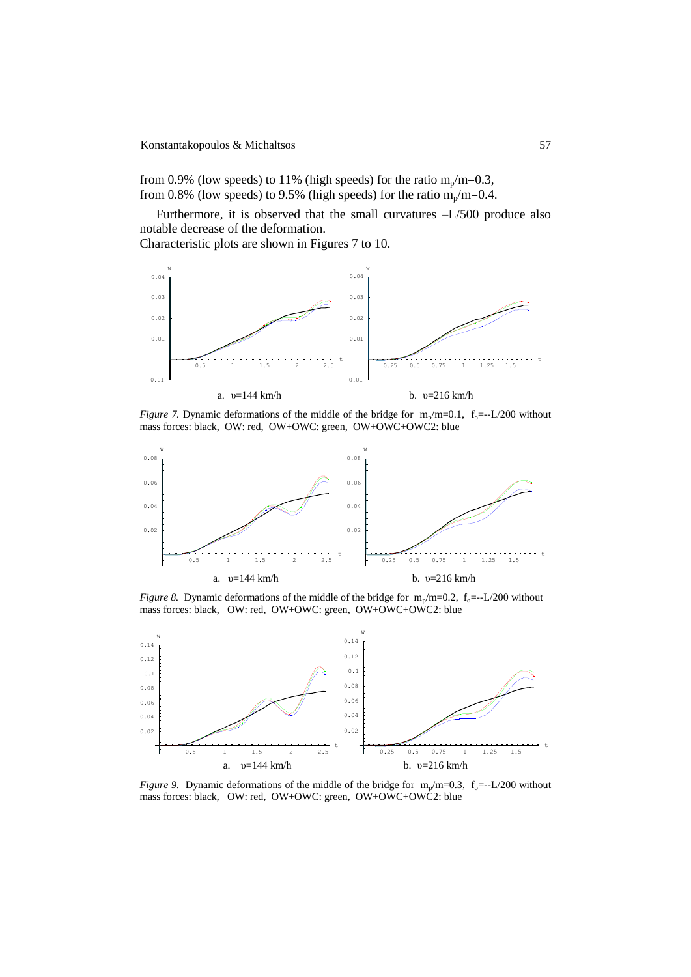### Konstantakopoulos & Michaltsos 57

from 0.9% (low speeds) to 11% (high speeds) for the ratio  $m_p/m=0.3$ , from 0.8% (low speeds) to 9.5% (high speeds) for the ratio  $m_p/m=0.4$ .

Furthermore, it is observed that the small curvatures –L/500 produce also notable decrease of the deformation.

Characteristic plots are shown in Figures 7 to 10.



*Figure 7.* Dynamic deformations of the middle of the bridge for  $m_p/m=0.1$ ,  $f_0 = -L/200$  without mass forces: black, OW: red, OW+OWC: green, OW+OWC+OWC2: blue



*Figure 8.* Dynamic deformations of the middle of the bridge for  $m_p/m=0.2$ ,  $f_0 = -L/200$  without mass forces: black, OW: red, OW+OWC: green, OW+OWC+OWC2: blue



*Figure 9.* Dynamic deformations of the middle of the bridge for  $m_p/m=0.3$ ,  $f_0 = -L/200$  without mass forces: black, OW: red, OW+OWC: green, OW+OWC+OWC2: blue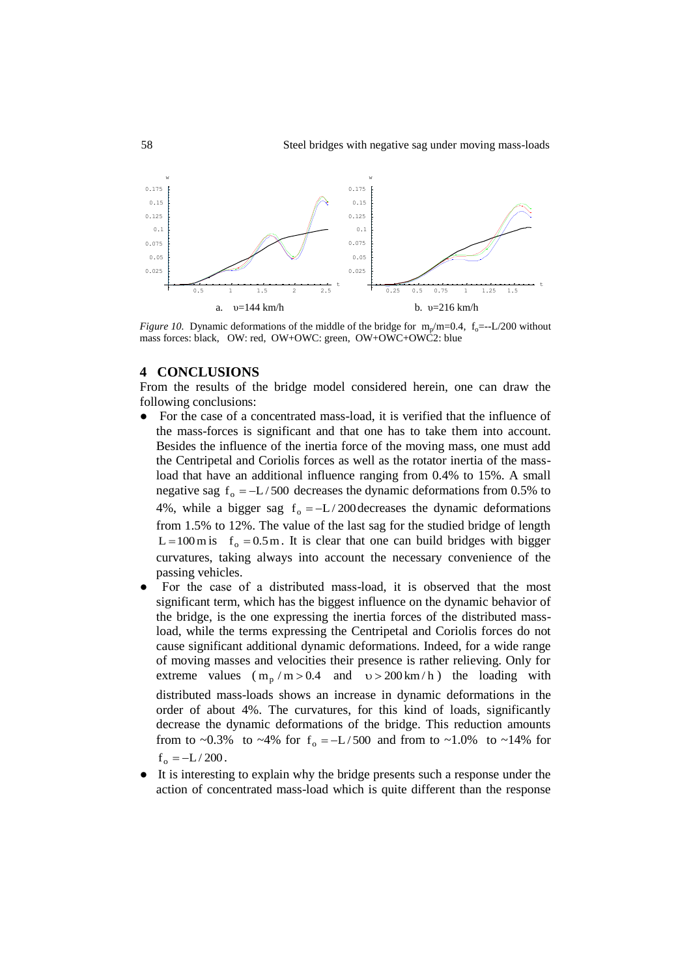

*Figure 10.* Dynamic deformations of the middle of the bridge for  $m_p/m=0.4$ ,  $f_0 = -L/200$  without mass forces: black, OW: red, OW+OWC: green, OW+OWC+OWC2: blue

## **4 CONCLUSIONS**

From the results of the bridge model considered herein, one can draw the following conclusions:

- For the case of a concentrated mass-load, it is verified that the influence of the mass-forces is significant and that one has to take them into account. Besides the influence of the inertia force of the moving mass, one must add the Centripetal and Coriolis forces as well as the rotator inertia of the massload that have an additional influence ranging from 0.4% to 15%. A small negative sag  $f_0 = -L/500$  decreases the dynamic deformations from 0.5% to 4%, while a bigger sag  $f_0 = -L/200$  decreases the dynamic deformations from 1.5% to 12%. The value of the last sag for the studied bridge of length L = 100 m is  $f_0 = 0.5$  m. It is clear that one can build bridges with bigger curvatures, taking always into account the necessary convenience of the passing vehicles.
- For the case of a distributed mass-load, it is observed that the most significant term, which has the biggest influence on the dynamic behavior of the bridge, is the one expressing the inertia forces of the distributed massload, while the terms expressing the Centripetal and Coriolis forces do not cause significant additional dynamic deformations. Indeed, for a wide range of moving masses and velocities their presence is rather relieving. Only for extreme values  $(m_p / m > 0.4$  and  $v > 200 km/h$ ) the loading with distributed mass-loads shows an increase in dynamic deformations in the order of about 4%. The curvatures, for this kind of loads, significantly decrease the dynamic deformations of the bridge. This reduction amounts from to ~0.3% to ~4% for  $f_0 = -L/500$  and from to ~1.0% to ~14% for  $f_o = -L / 200$ .
- It is interesting to explain why the bridge presents such a response under the action of concentrated mass-load which is quite different than the response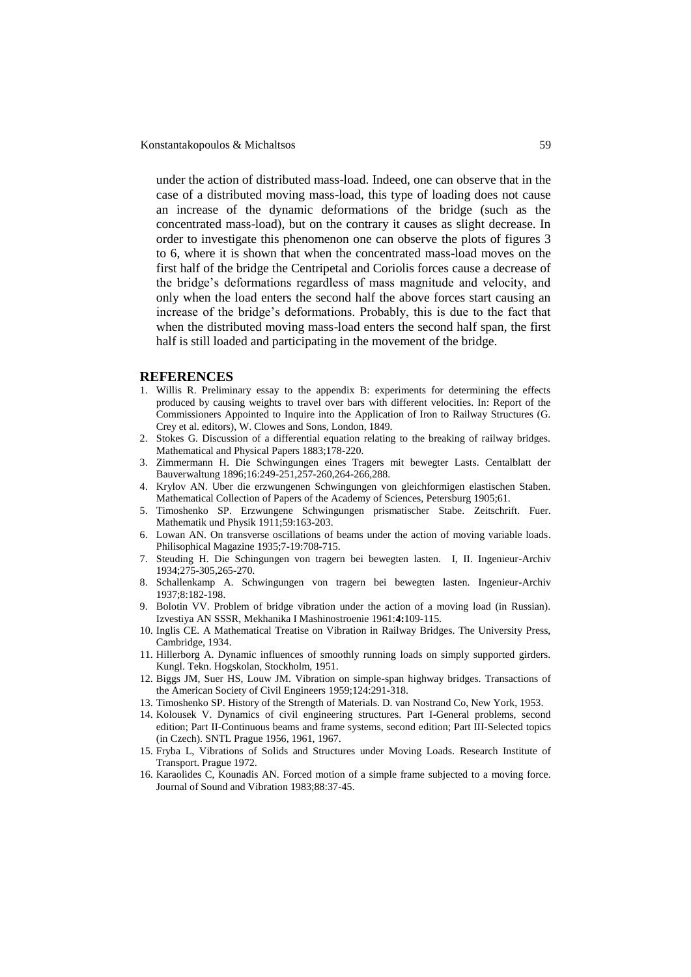under the action of distributed mass-load. Indeed, one can observe that in the case of a distributed moving mass-load, this type of loading does not cause an increase of the dynamic deformations of the bridge (such as the concentrated mass-load), but on the contrary it causes as slight decrease. In order to investigate this phenomenon one can observe the plots of figures 3 to 6, where it is shown that when the concentrated mass-load moves on the first half of the bridge the Centripetal and Coriolis forces cause a decrease of the bridge's deformations regardless of mass magnitude and velocity, and only when the load enters the second half the above forces start causing an increase of the bridge's deformations. Probably, this is due to the fact that when the distributed moving mass-load enters the second half span, the first half is still loaded and participating in the movement of the bridge.

## **REFERENCES**

- 1. Willis R. Preliminary essay to the appendix B: experiments for determining the effects produced by causing weights to travel over bars with different velocities. In: Report of the Commissioners Appointed to Inquire into the Application of Iron to Railway Structures (G. Crey et al. editors), W. Clowes and Sons, London, 1849.
- 2. Stokes G. Discussion of a differential equation relating to the breaking of railway bridges. Mathematical and Physical Papers 1883;178-220.
- 3. Zimmermann H. Die Schwingungen eines Tragers mit bewegter Lasts. Centalblatt der Bauverwaltung 1896;16:249-251,257-260,264-266,288.
- 4. Krylov AN. Uber die erzwungenen Schwingungen von gleichformigen elastischen Staben. Mathematical Collection of Papers of the Academy of Sciences, Petersburg 1905;61.
- 5. Timoshenko SP. Erzwungene Schwingungen prismatischer Stabe. Zeitschrift. Fuer. Mathematik und Physik 1911;59:163-203.
- 6. Lowan AN. On transverse oscillations of beams under the action of moving variable loads. Philisophical Magazine 1935;7-19:708-715.
- 7. Steuding H. Die Schingungen von tragern bei bewegten lasten. I, II. Ingenieur-Archiv 1934;275-305,265-270.
- 8. Schallenkamp A. Schwingungen von tragern bei bewegten lasten. Ingenieur-Archiv 1937;8:182-198.
- 9. Bolotin VV. Problem of bridge vibration under the action of a moving load (in Russian). Izvestiya AN SSSR, Mekhanika I Mashinostroenie 1961:**4:**109-115.
- 10. Inglis CE. A Mathematical Treatise on Vibration in Railway Bridges. The University Press, Cambridge, 1934.
- 11. Hillerborg A. Dynamic influences of smoothly running loads on simply supported girders. Kungl. Tekn. Hogskolan, Stockholm, 1951.
- 12. Biggs JM, Suer HS, Louw JM. Vibration on simple-span highway bridges. Transactions of the American Society of Civil Engineers 1959;124:291-318.
- 13. Timoshenko SP. History of the Strength of Materials. D. van Nostrand Co, New York, 1953.
- 14. Kolousek V. Dynamics of civil engineering structures. Part I-General problems, second edition; Part II-Continuous beams and frame systems, second edition; Part III-Selected topics (in Czech). SNTL Prague 1956, 1961, 1967.
- 15. Fryba L, Vibrations of Solids and Structures under Moving Loads*.* Research Institute of Transport. Prague 1972.
- 16. Karaolides C, Kounadis AN. Forced motion of a simple frame subjected to a moving force. Journal of Sound and Vibration 1983;88:37-45.